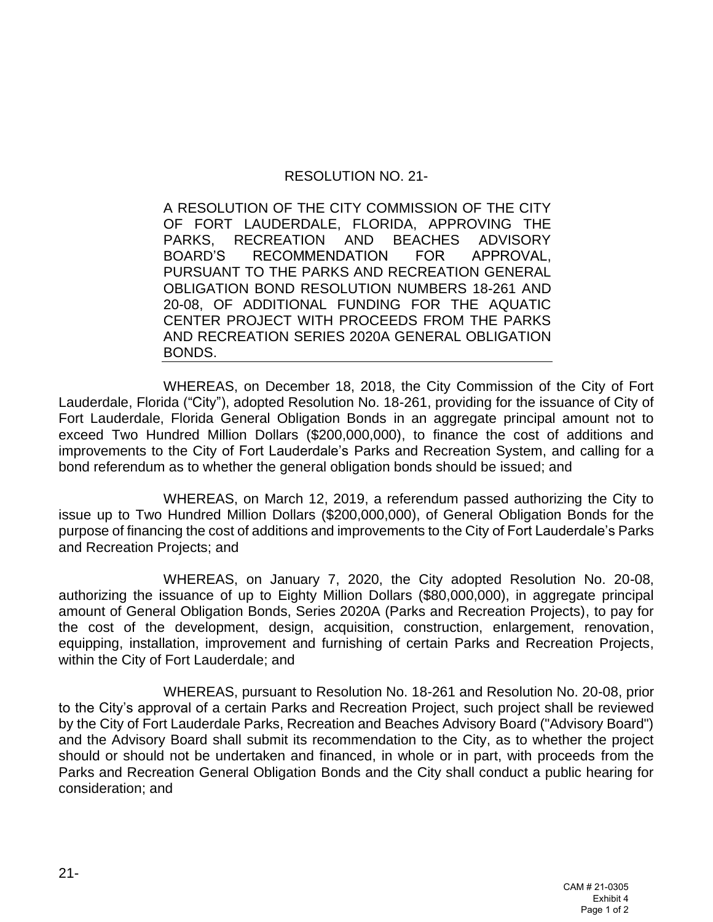## RESOLUTION NO. 21-

A RESOLUTION OF THE CITY COMMISSION OF THE CITY OF FORT LAUDERDALE, FLORIDA, APPROVING THE PARKS, RECREATION AND BEACHES ADVISORY BOARD'S RECOMMENDATION FOR APPROVAL, PURSUANT TO THE PARKS AND RECREATION GENERAL OBLIGATION BOND RESOLUTION NUMBERS 18-261 AND 20-08, OF ADDITIONAL FUNDING FOR THE AQUATIC CENTER PROJECT WITH PROCEEDS FROM THE PARKS AND RECREATION SERIES 2020A GENERAL OBLIGATION BONDS.

WHEREAS, on December 18, 2018, the City Commission of the City of Fort Lauderdale, Florida ("City"), adopted Resolution No. 18-261, providing for the issuance of City of Fort Lauderdale, Florida General Obligation Bonds in an aggregate principal amount not to exceed Two Hundred Million Dollars (\$200,000,000), to finance the cost of additions and improvements to the City of Fort Lauderdale's Parks and Recreation System, and calling for a bond referendum as to whether the general obligation bonds should be issued; and

WHEREAS, on March 12, 2019, a referendum passed authorizing the City to issue up to Two Hundred Million Dollars (\$200,000,000), of General Obligation Bonds for the purpose of financing the cost of additions and improvements to the City of Fort Lauderdale's Parks and Recreation Projects; and

WHEREAS, on January 7, 2020, the City adopted Resolution No. 20-08, authorizing the issuance of up to Eighty Million Dollars (\$80,000,000), in aggregate principal amount of General Obligation Bonds, Series 2020A (Parks and Recreation Projects), to pay for the cost of the development, design, acquisition, construction, enlargement, renovation, equipping, installation, improvement and furnishing of certain Parks and Recreation Projects, within the City of Fort Lauderdale; and

WHEREAS, pursuant to Resolution No. 18-261 and Resolution No. 20-08, prior to the City's approval of a certain Parks and Recreation Project, such project shall be reviewed by the City of Fort Lauderdale Parks, Recreation and Beaches Advisory Board ("Advisory Board") and the Advisory Board shall submit its recommendation to the City, as to whether the project should or should not be undertaken and financed, in whole or in part, with proceeds from the Parks and Recreation General Obligation Bonds and the City shall conduct a public hearing for consideration; and